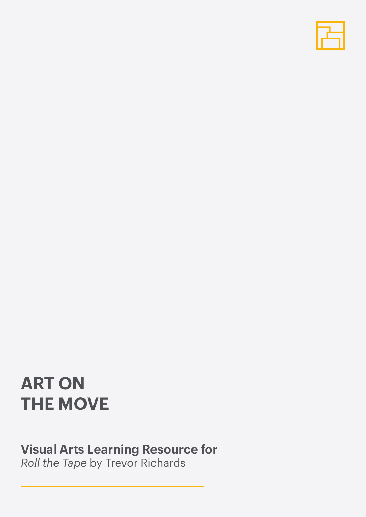

# **ART ON THE MOVE**

## **Visual Arts Learning Resource for**

*Roll the Tape* by Trevor Richards